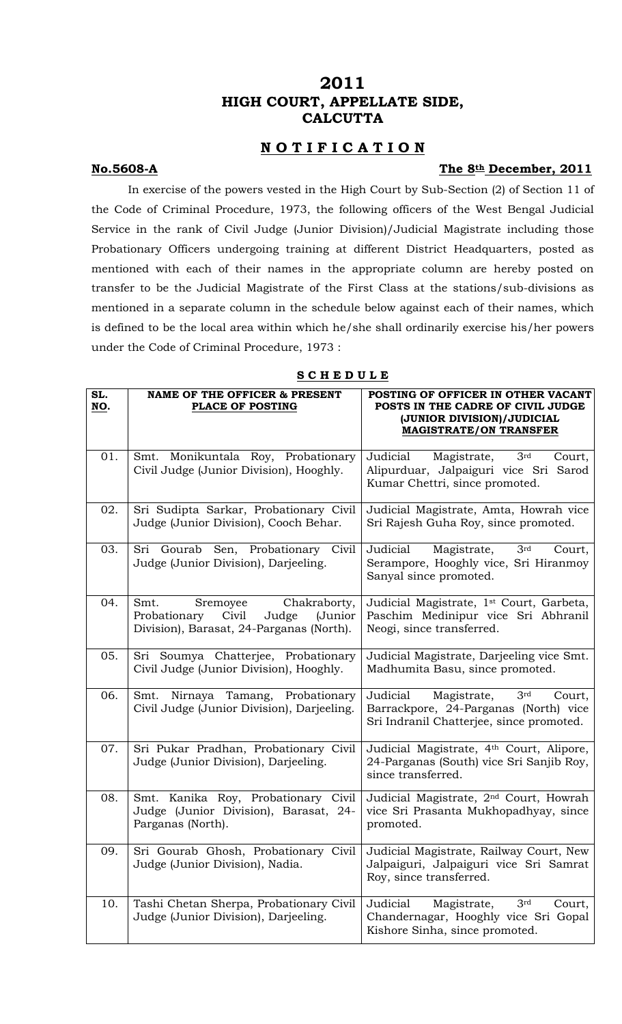# **2011 HIGH COURT, APPELLATE SIDE, CALCUTTA**

# **N O T I F I C A T I O N**

# **No.5608-A** The 8th December, 2011

 In exercise of the powers vested in the High Court by Sub-Section (2) of Section 11 of the Code of Criminal Procedure, 1973, the following officers of the West Bengal Judicial Service in the rank of Civil Judge (Junior Division)/Judicial Magistrate including those Probationary Officers undergoing training at different District Headquarters, posted as mentioned with each of their names in the appropriate column are hereby posted on transfer to be the Judicial Magistrate of the First Class at the stations/sub-divisions as mentioned in a separate column in the schedule below against each of their names, which is defined to be the local area within which he/she shall ordinarily exercise his/her powers under the Code of Criminal Procedure, 1973 :

### **S C H E D U L E**

| SL.<br>NO. | <b>NAME OF THE OFFICER &amp; PRESENT</b><br><b>PLACE OF POSTING</b>                                                       | POSTING OF OFFICER IN OTHER VACANT<br>POSTS IN THE CADRE OF CIVIL JUDGE<br>(JUNIOR DIVISION)/JUDICIAL<br><b>MAGISTRATE/ON TRANSFER</b> |
|------------|---------------------------------------------------------------------------------------------------------------------------|----------------------------------------------------------------------------------------------------------------------------------------|
| 01.        | Monikuntala Roy, Probationary<br>Smt.<br>Civil Judge (Junior Division), Hooghly.                                          | 3rd<br>Judicial<br>Magistrate,<br>Court,<br>Alipurduar, Jalpaiguri vice Sri<br>Sarod<br>Kumar Chettri, since promoted.                 |
| 02.        | Sri Sudipta Sarkar, Probationary Civil<br>Judge (Junior Division), Cooch Behar.                                           | Judicial Magistrate, Amta, Howrah vice<br>Sri Rajesh Guha Roy, since promoted.                                                         |
| 03.        | Sri Gourab Sen, Probationary<br>Civil<br>Judge (Junior Division), Darjeeling.                                             | 3 <sup>rd</sup><br>Magistrate,<br>Judicial<br>Court,<br>Serampore, Hooghly vice, Sri Hiranmoy<br>Sanyal since promoted.                |
| 04.        | Chakraborty,<br>Smt.<br>Sremoyee<br>Civil<br>(Junior<br>Probationary<br>Judge<br>Division), Barasat, 24-Parganas (North). | Judicial Magistrate, 1 <sup>st</sup> Court, Garbeta,<br>Paschim Medinipur vice Sri Abhranil<br>Neogi, since transferred.               |
| 05.        | Sri Soumya Chatterjee, Probationary<br>Civil Judge (Junior Division), Hooghly.                                            | Judicial Magistrate, Darjeeling vice Smt.<br>Madhumita Basu, since promoted.                                                           |
| 06.        | Smt. Nirnaya Tamang, Probationary<br>Civil Judge (Junior Division), Darjeeling.                                           | Judicial<br>Magistrate, 3rd<br>Court,<br>Barrackpore, 24-Parganas (North) vice<br>Sri Indranil Chatterjee, since promoted.             |
| 07.        | Sri Pukar Pradhan, Probationary Civil<br>Judge (Junior Division), Darjeeling.                                             | Judicial Magistrate, 4th Court, Alipore,<br>24-Parganas (South) vice Sri Sanjib Roy,<br>since transferred.                             |
| 08.        | Smt. Kanika Roy, Probationary Civil<br>Judge (Junior Division), Barasat, 24-<br>Parganas (North).                         | Judicial Magistrate, 2 <sup>nd</sup> Court, Howrah<br>vice Sri Prasanta Mukhopadhyay, since<br>promoted.                               |
| 09.        | Sri Gourab Ghosh, Probationary<br>Civil<br>Judge (Junior Division), Nadia.                                                | Judicial Magistrate, Railway Court, New<br>Jalpaiguri, Jalpaiguri vice Sri Samrat<br>Roy, since transferred.                           |
| 10.        | Tashi Chetan Sherpa, Probationary Civil<br>Judge (Junior Division), Darjeeling.                                           | Judicial<br>Magistrate,<br>3 <sup>rd</sup><br>Court,<br>Chandernagar, Hooghly vice Sri Gopal<br>Kishore Sinha, since promoted.         |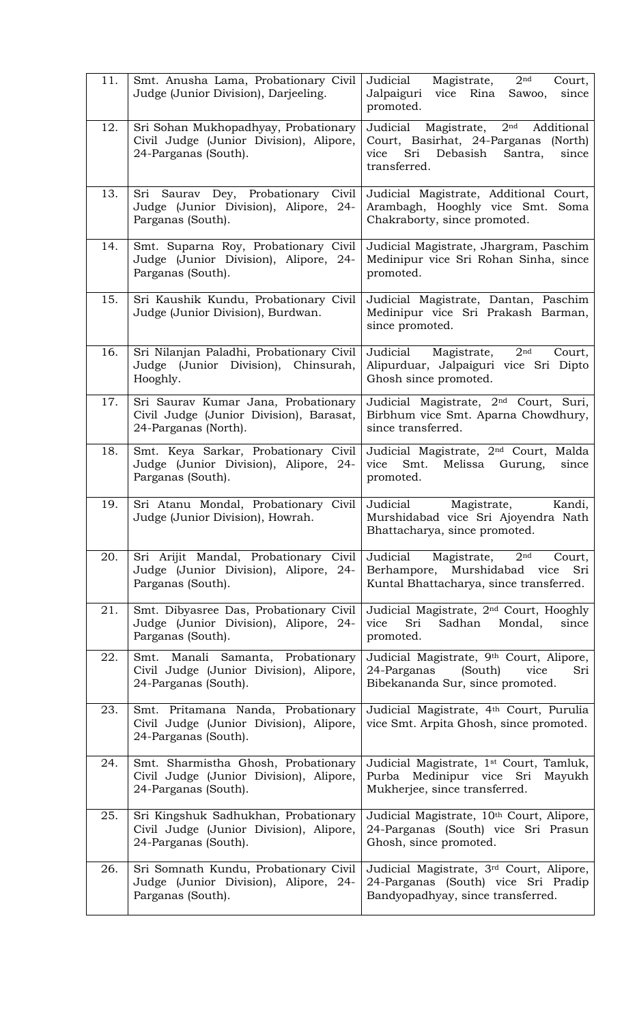| 11. | Smt. Anusha Lama, Probationary Civil<br>Judge (Junior Division), Darjeeling.                            | Judicial<br>Magistrate,<br>2 <sup>nd</sup><br>Court,<br>Jalpaiguri<br>vice<br>Rina<br>since<br>Sawoo,<br>promoted.                                           |
|-----|---------------------------------------------------------------------------------------------------------|--------------------------------------------------------------------------------------------------------------------------------------------------------------|
| 12. | Sri Sohan Mukhopadhyay, Probationary<br>Civil Judge (Junior Division), Alipore,<br>24-Parganas (South). | Magistrate, 2 <sup>nd</sup><br>Judicial<br>Additional<br>Court, Basirhat, 24-Parganas (North)<br>Sri<br>Debasish<br>Santra,<br>vice<br>since<br>transferred. |
| 13. | Saurav Dey, Probationary<br>Sri<br>Civil<br>Judge (Junior Division), Alipore, 24-<br>Parganas (South).  | Judicial Magistrate, Additional Court,<br>Arambagh, Hooghly vice Smt.<br>Soma<br>Chakraborty, since promoted.                                                |
| 14. | Smt. Suparna Roy, Probationary Civil<br>Judge (Junior Division), Alipore, 24-<br>Parganas (South).      | Judicial Magistrate, Jhargram, Paschim<br>Medinipur vice Sri Rohan Sinha, since<br>promoted.                                                                 |
| 15. | Sri Kaushik Kundu, Probationary Civil<br>Judge (Junior Division), Burdwan.                              | Judicial Magistrate, Dantan, Paschim<br>Medinipur vice Sri Prakash Barman,<br>since promoted.                                                                |
| 16. | Sri Nilanjan Paladhi, Probationary Civil<br>Judge (Junior Division), Chinsurah,<br>Hooghly.             | Judicial<br>Magistrate,<br>2 <sub>nd</sub><br>Court,<br>Alipurduar, Jalpaiguri vice Sri Dipto<br>Ghosh since promoted.                                       |
| 17. | Sri Saurav Kumar Jana, Probationary<br>Civil Judge (Junior Division), Barasat,<br>24-Parganas (North).  | Judicial Magistrate, 2 <sup>nd</sup> Court, Suri,<br>Birbhum vice Smt. Aparna Chowdhury,<br>since transferred.                                               |
| 18. | Smt. Keya Sarkar, Probationary Civil<br>Judge (Junior Division), Alipore, 24-<br>Parganas (South).      | Judicial Magistrate, 2 <sup>nd</sup> Court, Malda<br>Smt.<br>Melissa Gurung,<br>vice<br>since<br>promoted.                                                   |
| 19. | Sri Atanu Mondal, Probationary<br>Civil<br>Judge (Junior Division), Howrah.                             | Judicial<br>Kandi,<br>Magistrate,<br>Murshidabad vice Sri Ajoyendra Nath<br>Bhattacharya, since promoted.                                                    |
| 20. | Sri Arijit Mandal, Probationary Civil<br>Judge (Junior Division), Alipore, 24-<br>Parganas (South).     | Magistrate,<br>2 <sub>nd</sub><br>Judicial<br>Court,<br>Murshidabad<br>Berhampore,<br>Sri<br>vice<br>Kuntal Bhattacharya, since transferred.                 |
| 21. | Smt. Dibyasree Das, Probationary Civil<br>Judge (Junior Division), Alipore, 24-<br>Parganas (South).    | Judicial Magistrate, 2 <sup>nd</sup> Court, Hooghly<br>Sri<br>Sadhan<br>Mondal,<br>since<br>vice<br>promoted.                                                |
| 22. | Smt. Manali Samanta, Probationary<br>Civil Judge (Junior Division), Alipore,<br>24-Parganas (South).    | Judicial Magistrate, 9th Court, Alipore,<br>(South)<br>24-Parganas<br>vice<br>Sri<br>Bibekananda Sur, since promoted.                                        |
| 23. | Smt. Pritamana Nanda, Probationary<br>Civil Judge (Junior Division), Alipore,<br>24-Parganas (South).   | Judicial Magistrate, 4th Court, Purulia<br>vice Smt. Arpita Ghosh, since promoted.                                                                           |
| 24. | Smt. Sharmistha Ghosh, Probationary<br>Civil Judge (Junior Division), Alipore,<br>24-Parganas (South).  | Judicial Magistrate, 1 <sup>st</sup> Court, Tamluk,<br>Purba Medinipur vice<br>Sri<br>Mayukh<br>Mukherjee, since transferred.                                |
| 25. | Sri Kingshuk Sadhukhan, Probationary<br>Civil Judge (Junior Division), Alipore,<br>24-Parganas (South). | Judicial Magistrate, 10th Court, Alipore,<br>24-Parganas (South) vice Sri Prasun<br>Ghosh, since promoted.                                                   |
| 26. | Sri Somnath Kundu, Probationary Civil<br>Judge (Junior Division), Alipore, 24-<br>Parganas (South).     | Judicial Magistrate, 3 <sup>rd</sup> Court, Alipore,<br>24-Parganas (South) vice Sri Pradip<br>Bandyopadhyay, since transferred.                             |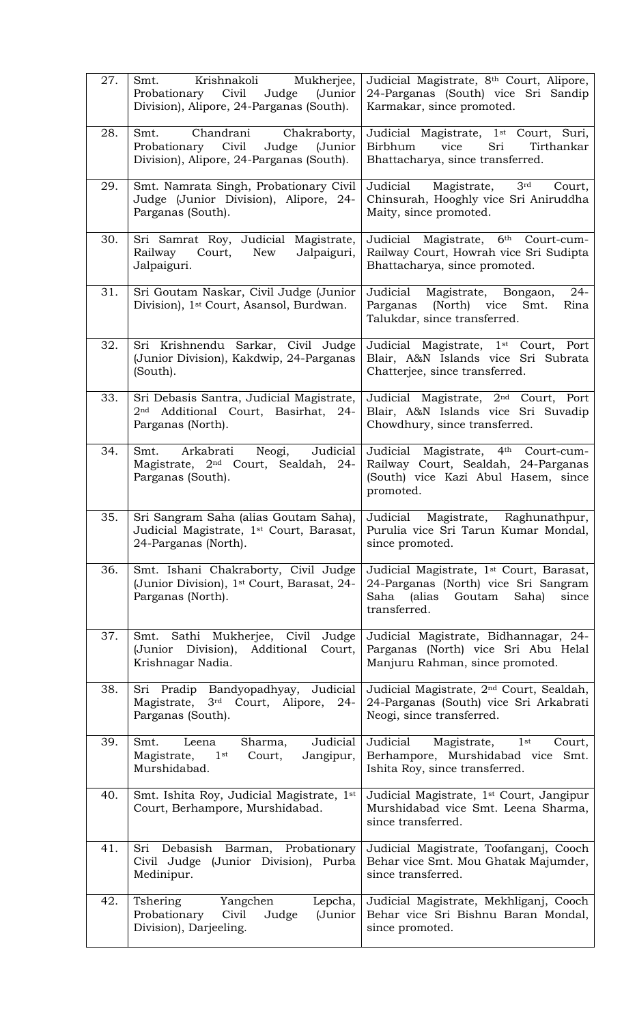| 27. | Krishnakoli<br>Mukherjee,<br>Smt.<br>Probationary Civil<br>Judge<br>(Junior<br>Division), Alipore, 24-Parganas (South). | Judicial Magistrate, 8th Court, Alipore,<br>24-Parganas (South) vice Sri Sandip<br>Karmakar, since promoted.                                               |
|-----|-------------------------------------------------------------------------------------------------------------------------|------------------------------------------------------------------------------------------------------------------------------------------------------------|
| 28. | Chandrani<br>Chakraborty,<br>Smt.<br>Probationary Civil<br>Judge<br>(Junior<br>Division), Alipore, 24-Parganas (South). | Judicial Magistrate, 1 <sup>st</sup> Court, Suri,<br>Birbhum<br>vice<br>Sri<br>Tirthankar<br>Bhattacharya, since transferred.                              |
| 29. | Smt. Namrata Singh, Probationary Civil<br>Judge (Junior Division), Alipore, 24-<br>Parganas (South).                    | Magistrate,<br>3 <sup>rd</sup><br>Court,<br>Judicial<br>Chinsurah, Hooghly vice Sri Aniruddha<br>Maity, since promoted.                                    |
| 30. | Sri Samrat Roy, Judicial Magistrate,<br>Jalpaiguri,<br>Railway<br>Court,<br>New<br>Jalpaiguri.                          | Judicial Magistrate, 6th Court-cum-<br>Railway Court, Howrah vice Sri Sudipta<br>Bhattacharya, since promoted.                                             |
| 31. | Sri Goutam Naskar, Civil Judge (Junior<br>Division), 1 <sup>st</sup> Court, Asansol, Burdwan.                           | $24-$<br>Magistrate, Bongaon,<br>Judicial<br>Parganas (North) vice<br>Smt.<br>Rina<br>Talukdar, since transferred.                                         |
| 32. | Sri Krishnendu Sarkar, Civil Judge<br>(Junior Division), Kakdwip, 24-Parganas<br>(South).                               | Judicial Magistrate, 1st Court, Port<br>Blair, A&N Islands vice Sri Subrata<br>Chatterjee, since transferred.                                              |
| 33. | Sri Debasis Santra, Judicial Magistrate,<br>Additional Court, Basirhat, 24-<br>2 <sub>nd</sub><br>Parganas (North).     | Judicial Magistrate, 2 <sup>nd</sup> Court, Port<br>Blair, A&N Islands vice Sri Suvadip<br>Chowdhury, since transferred.                                   |
| 34. | Judicial<br>Smt.<br>Arkabrati<br>Neogi,<br>Magistrate, 2 <sup>nd</sup> Court, Sealdah, 24-<br>Parganas (South).         | Judicial Magistrate, 4th Court-cum-<br>Railway Court, Sealdah, 24-Parganas<br>(South) vice Kazi Abul Hasem, since<br>promoted.                             |
| 35. | Sri Sangram Saha (alias Goutam Saha),<br>Judicial Magistrate, 1st Court, Barasat,<br>24-Parganas (North).               | Judicial<br>Magistrate,<br>Raghunathpur,<br>Purulia vice Sri Tarun Kumar Mondal,<br>since promoted.                                                        |
| 36. | Smt. Ishani Chakraborty, Civil Judge<br>(Junior Division), 1 <sup>st</sup> Court, Barasat, 24-<br>Parganas (North).     | Judicial Magistrate, 1 <sup>st</sup> Court, Barasat,<br>24-Parganas (North) vice Sri Sangram<br>(alias<br>Goutam<br>Saha)<br>Saha<br>since<br>transferred. |
| 37. | Smt. Sathi Mukherjee, Civil<br>Judge<br>Division),<br>Additional<br>(Junior<br>Court,<br>Krishnagar Nadia.              | Judicial Magistrate, Bidhannagar, 24-<br>Parganas (North) vice Sri Abu Helal<br>Manjuru Rahman, since promoted.                                            |
| 38. | Sri Pradip Bandyopadhyay, Judicial<br>Magistrate, 3rd Court, Alipore, 24-<br>Parganas (South).                          | Judicial Magistrate, 2 <sup>nd</sup> Court, Sealdah,<br>24-Parganas (South) vice Sri Arkabrati<br>Neogi, since transferred.                                |
| 39. | Judicial<br>Sharma,<br>Smt.<br>Leena<br>$1$ st<br>Jangipur,<br>Magistrate,<br>Court,<br>Murshidabad.                    | Magistrate,<br>Judicial<br>$1$ st<br>Court,<br>Berhampore, Murshidabad vice<br>Smt.<br>Ishita Roy, since transferred.                                      |
| 40. | Smt. Ishita Roy, Judicial Magistrate, 1st<br>Court, Berhampore, Murshidabad.                                            | Judicial Magistrate, 1 <sup>st</sup> Court, Jangipur<br>Murshidabad vice Smt. Leena Sharma,<br>since transferred.                                          |
| 41. |                                                                                                                         |                                                                                                                                                            |
|     | Sri Debasish Barman, Probationary<br>Civil Judge (Junior Division), Purba<br>Medinipur.                                 | Judicial Magistrate, Toofanganj, Cooch<br>Behar vice Smt. Mou Ghatak Majumder,<br>since transferred.                                                       |